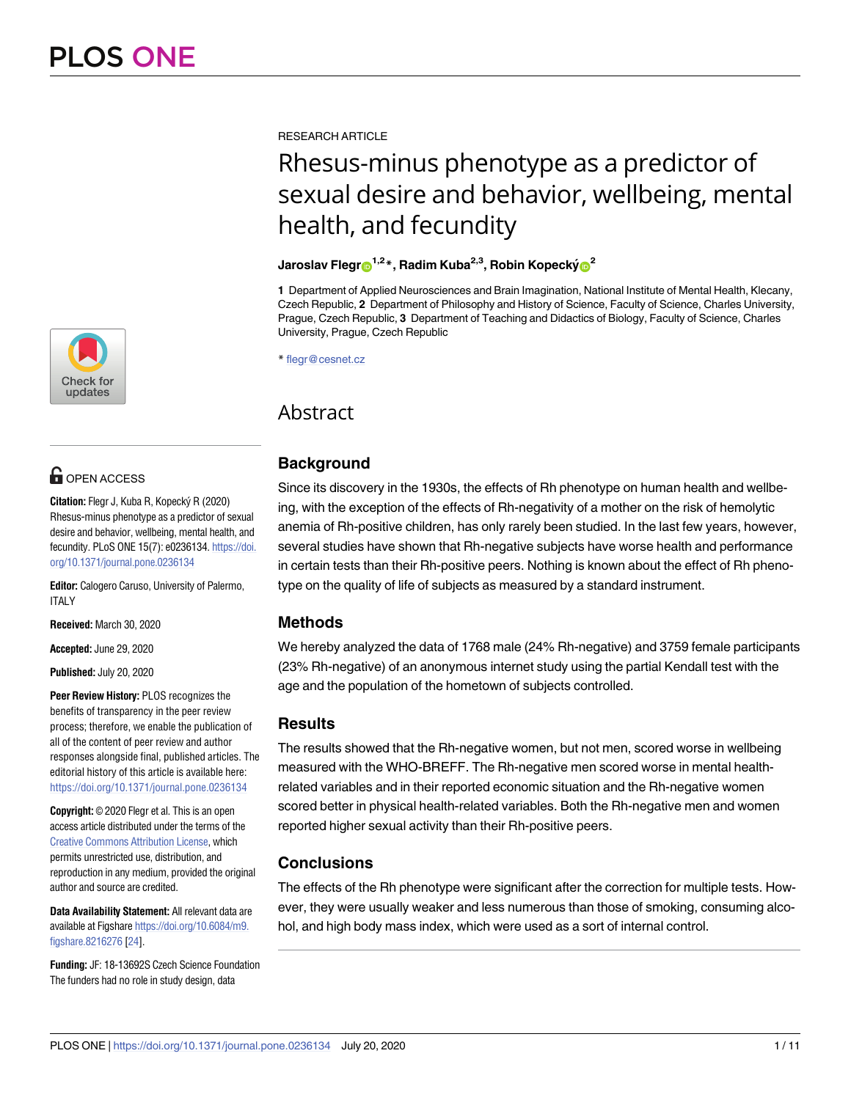

# **O** OPEN ACCESS

**Citation:** Flegr J, Kuba R, Kopecký R (2020) Rhesus-minus phenotype as a predictor of sexual desire and behavior, wellbeing, mental health, and fecundity. PLoS ONE 15(7): e0236134. [https://doi.](https://doi.org/10.1371/journal.pone.0236134) [org/10.1371/journal.pone.0236134](https://doi.org/10.1371/journal.pone.0236134)

**Editor:** Calogero Caruso, University of Palermo, **ITALY** 

**Received:** March 30, 2020

**Accepted:** June 29, 2020

**Published:** July 20, 2020

**Peer Review History:** PLOS recognizes the benefits of transparency in the peer review process; therefore, we enable the publication of all of the content of peer review and author responses alongside final, published articles. The editorial history of this article is available here: <https://doi.org/10.1371/journal.pone.0236134>

**Copyright:** © 2020 Flegr et al. This is an open access article distributed under the terms of the Creative Commons [Attribution](http://creativecommons.org/licenses/by/4.0/) License, which permits unrestricted use, distribution, and reproduction in any medium, provided the original author and source are credited.

**Data Availability Statement:** All relevant data are available at Figshare [https://doi.org/10.6084/m9.](https://doi.org/10.6084/m9.figshare.8216276) [figshare.8216276](https://doi.org/10.6084/m9.figshare.8216276) [\[24\]](#page-9-0).

**Funding:** JF: 18-13692S Czech Science Foundation The funders had no role in study design, data

<span id="page-0-0"></span>RESEARCH ARTICLE

# Rhesus-minus phenotype as a predictor of sexual desire and behavior, wellbeing, mental health, and fecundity

## **Jaroslav Flegr**<sup>1,2</sup><sup>\*</sup>, Radim Kuba<sup>2,3</sup>, Robin Kopecký<sup>2</sup>

**1** Department of Applied Neurosciences and Brain Imagination, National Institute of Mental Health, Klecany, Czech Republic, **2** Department of Philosophy and History of Science, Faculty of Science, Charles University, Prague, Czech Republic, **3** Department of Teaching and Didactics of Biology, Faculty of Science, Charles University, Prague, Czech Republic

\* flegr@cesnet.cz

## Abstract

## **Background**

Since its discovery in the 1930s, the effects of Rh phenotype on human health and wellbeing, with the exception of the effects of Rh-negativity of a mother on the risk of hemolytic anemia of Rh-positive children, has only rarely been studied. In the last few years, however, several studies have shown that Rh-negative subjects have worse health and performance in certain tests than their Rh-positive peers. Nothing is known about the effect of Rh phenotype on the quality of life of subjects as measured by a standard instrument.

## **Methods**

We hereby analyzed the data of 1768 male (24% Rh-negative) and 3759 female participants (23% Rh-negative) of an anonymous internet study using the partial Kendall test with the age and the population of the hometown of subjects controlled.

## **Results**

The results showed that the Rh-negative women, but not men, scored worse in wellbeing measured with the WHO-BREFF. The Rh-negative men scored worse in mental healthrelated variables and in their reported economic situation and the Rh-negative women scored better in physical health-related variables. Both the Rh-negative men and women reported higher sexual activity than their Rh-positive peers.

## **Conclusions**

The effects of the Rh phenotype were significant after the correction for multiple tests. However, they were usually weaker and less numerous than those of smoking, consuming alcohol, and high body mass index, which were used as a sort of internal control.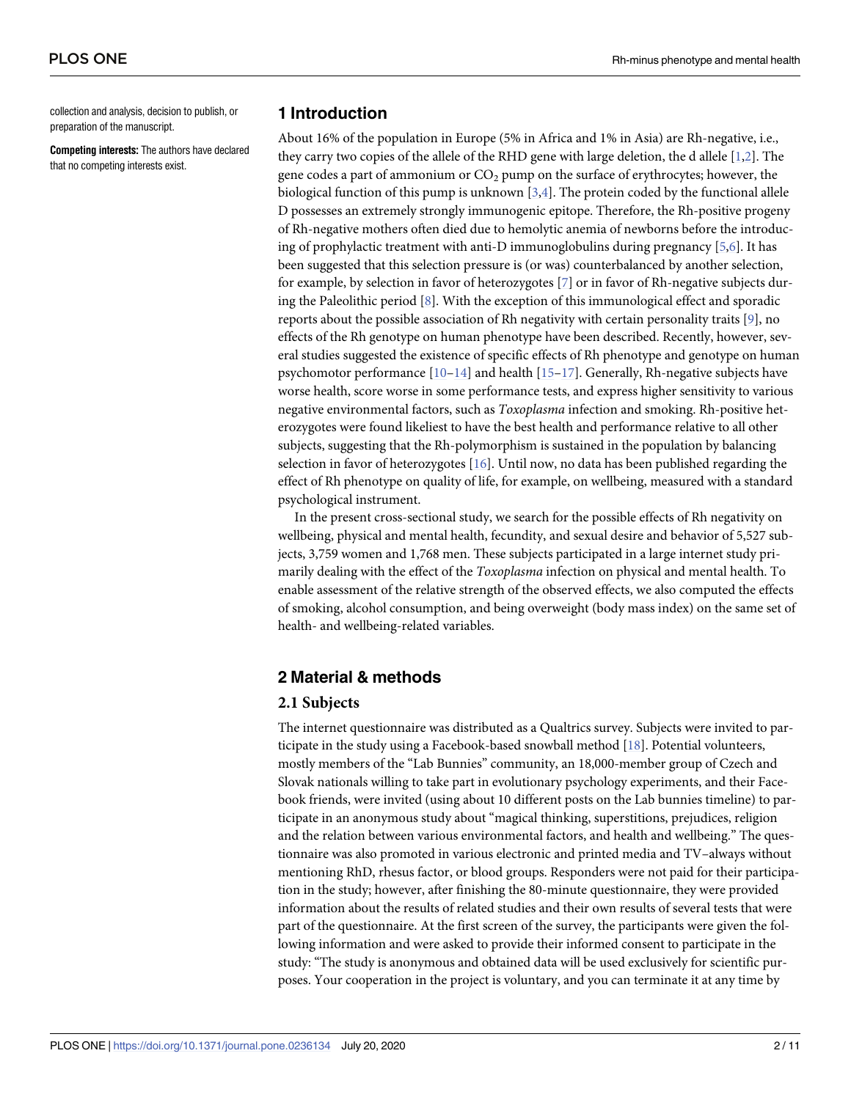<span id="page-1-0"></span>collection and analysis, decision to publish, or preparation of the manuscript.

**Competing interests:** The authors have declared that no competing interests exist.

## **1 Introduction**

About 16% of the population in Europe (5% in Africa and 1% in Asia) are Rh-negative, i.e., they carry two copies of the allele of the RHD gene with large deletion, the d allele [\[1,2\]](#page-8-0). The gene codes a part of ammonium or  $CO<sub>2</sub>$  pump on the surface of erythrocytes; however, the biological function of this pump is unknown  $[3,4]$  $[3,4]$  $[3,4]$ . The protein coded by the functional allele D possesses an extremely strongly immunogenic epitope. Therefore, the Rh-positive progeny of Rh-negative mothers often died due to hemolytic anemia of newborns before the introducing of prophylactic treatment with anti-D immunoglobulins during pregnancy [[5](#page-9-0),[6\]](#page-9-0). It has been suggested that this selection pressure is (or was) counterbalanced by another selection, for example, by selection in favor of heterozygotes [\[7\]](#page-9-0) or in favor of Rh-negative subjects during the Paleolithic period [[8](#page-9-0)]. With the exception of this immunological effect and sporadic reports about the possible association of Rh negativity with certain personality traits [\[9\]](#page-9-0), no effects of the Rh genotype on human phenotype have been described. Recently, however, several studies suggested the existence of specific effects of Rh phenotype and genotype on human psychomotor performance  $[10-14]$  and health  $[15-17]$ . Generally, Rh-negative subjects have worse health, score worse in some performance tests, and express higher sensitivity to various negative environmental factors, such as *Toxoplasma* infection and smoking. Rh-positive heterozygotes were found likeliest to have the best health and performance relative to all other subjects, suggesting that the Rh-polymorphism is sustained in the population by balancing selection in favor of heterozygotes [[16](#page-9-0)]. Until now, no data has been published regarding the effect of Rh phenotype on quality of life, for example, on wellbeing, measured with a standard psychological instrument.

In the present cross-sectional study, we search for the possible effects of Rh negativity on wellbeing, physical and mental health, fecundity, and sexual desire and behavior of 5,527 subjects, 3,759 women and 1,768 men. These subjects participated in a large internet study primarily dealing with the effect of the *Toxoplasma* infection on physical and mental health. To enable assessment of the relative strength of the observed effects, we also computed the effects of smoking, alcohol consumption, and being overweight (body mass index) on the same set of health- and wellbeing-related variables.

#### **2 Material & methods**

#### **2.1 Subjects**

The internet questionnaire was distributed as a Qualtrics survey. Subjects were invited to participate in the study using a Facebook-based snowball method [[18](#page-9-0)]. Potential volunteers, mostly members of the "Lab Bunnies" community, an 18,000-member group of Czech and Slovak nationals willing to take part in evolutionary psychology experiments, and their Facebook friends, were invited (using about 10 different posts on the Lab bunnies timeline) to participate in an anonymous study about "magical thinking, superstitions, prejudices, religion and the relation between various environmental factors, and health and wellbeing." The questionnaire was also promoted in various electronic and printed media and TV–always without mentioning RhD, rhesus factor, or blood groups. Responders were not paid for their participation in the study; however, after finishing the 80-minute questionnaire, they were provided information about the results of related studies and their own results of several tests that were part of the questionnaire. At the first screen of the survey, the participants were given the following information and were asked to provide their informed consent to participate in the study: "The study is anonymous and obtained data will be used exclusively for scientific purposes. Your cooperation in the project is voluntary, and you can terminate it at any time by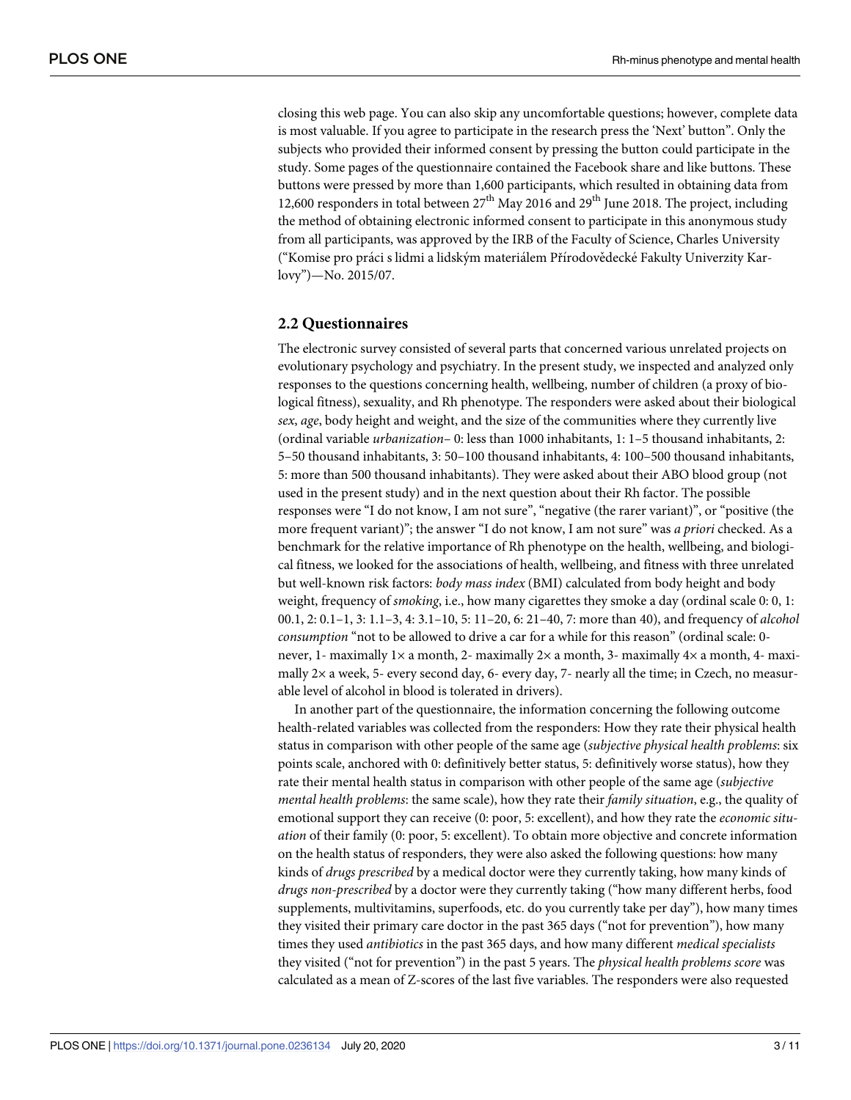closing this web page. You can also skip any uncomfortable questions; however, complete data is most valuable. If you agree to participate in the research press the 'Next' button". Only the subjects who provided their informed consent by pressing the button could participate in the study. Some pages of the questionnaire contained the Facebook share and like buttons. These buttons were pressed by more than 1,600 participants, which resulted in obtaining data from 12,600 responders in total between  $27<sup>th</sup>$  May 2016 and  $29<sup>th</sup>$  June 2018. The project, including the method of obtaining electronic informed consent to participate in this anonymous study from all participants, was approved by the IRB of the Faculty of Science, Charles University ("Komise pro práci s lidmi a lidským materiálem Přírodovědecké Fakulty Univerzity Karlovy")—No. 2015/07.

#### **2.2 Questionnaires**

The electronic survey consisted of several parts that concerned various unrelated projects on evolutionary psychology and psychiatry. In the present study, we inspected and analyzed only responses to the questions concerning health, wellbeing, number of children (a proxy of biological fitness), sexuality, and Rh phenotype. The responders were asked about their biological *sex*, *age*, body height and weight, and the size of the communities where they currently live (ordinal variable *urbanization*– 0: less than 1000 inhabitants, 1: 1–5 thousand inhabitants, 2: 5–50 thousand inhabitants, 3: 50–100 thousand inhabitants, 4: 100–500 thousand inhabitants, 5: more than 500 thousand inhabitants). They were asked about their ABO blood group (not used in the present study) and in the next question about their Rh factor. The possible responses were "I do not know, I am not sure", "negative (the rarer variant)", or "positive (the more frequent variant)"; the answer "I do not know, I am not sure" was *a priori* checked. As a benchmark for the relative importance of Rh phenotype on the health, wellbeing, and biological fitness, we looked for the associations of health, wellbeing, and fitness with three unrelated but well-known risk factors: *body mass index* (BMI) calculated from body height and body weight, frequency of *smoking*, i.e., how many cigarettes they smoke a day (ordinal scale 0: 0, 1: 00.1, 2: 0.1–1, 3: 1.1–3, 4: 3.1–10, 5: 11–20, 6: 21–40, 7: more than 40), and frequency of *alcohol consumption* "not to be allowed to drive a car for a while for this reason" (ordinal scale: 0 never, 1- maximally 1 $\times$  a month, 2- maximally 2 $\times$  a month, 3- maximally 4 $\times$  a month, 4- maximally 2× a week, 5- every second day, 6- every day, 7- nearly all the time; in Czech, no measurable level of alcohol in blood is tolerated in drivers).

In another part of the questionnaire, the information concerning the following outcome health-related variables was collected from the responders: How they rate their physical health status in comparison with other people of the same age (*subjective physical health problems*: six points scale, anchored with 0: definitively better status, 5: definitively worse status), how they rate their mental health status in comparison with other people of the same age (*subjective mental health problems*: the same scale), how they rate their *family situation*, e.g., the quality of emotional support they can receive (0: poor, 5: excellent), and how they rate the *economic situation* of their family (0: poor, 5: excellent). To obtain more objective and concrete information on the health status of responders, they were also asked the following questions: how many kinds of *drugs prescribed* by a medical doctor were they currently taking, how many kinds of *drugs non-prescribed* by a doctor were they currently taking ("how many different herbs, food supplements, multivitamins, superfoods, etc. do you currently take per day"), how many times they visited their primary care doctor in the past 365 days ("not for prevention"), how many times they used *antibiotics* in the past 365 days, and how many different *medical specialists* they visited ("not for prevention") in the past 5 years. The *physical health problems score* was calculated as a mean of Z-scores of the last five variables. The responders were also requested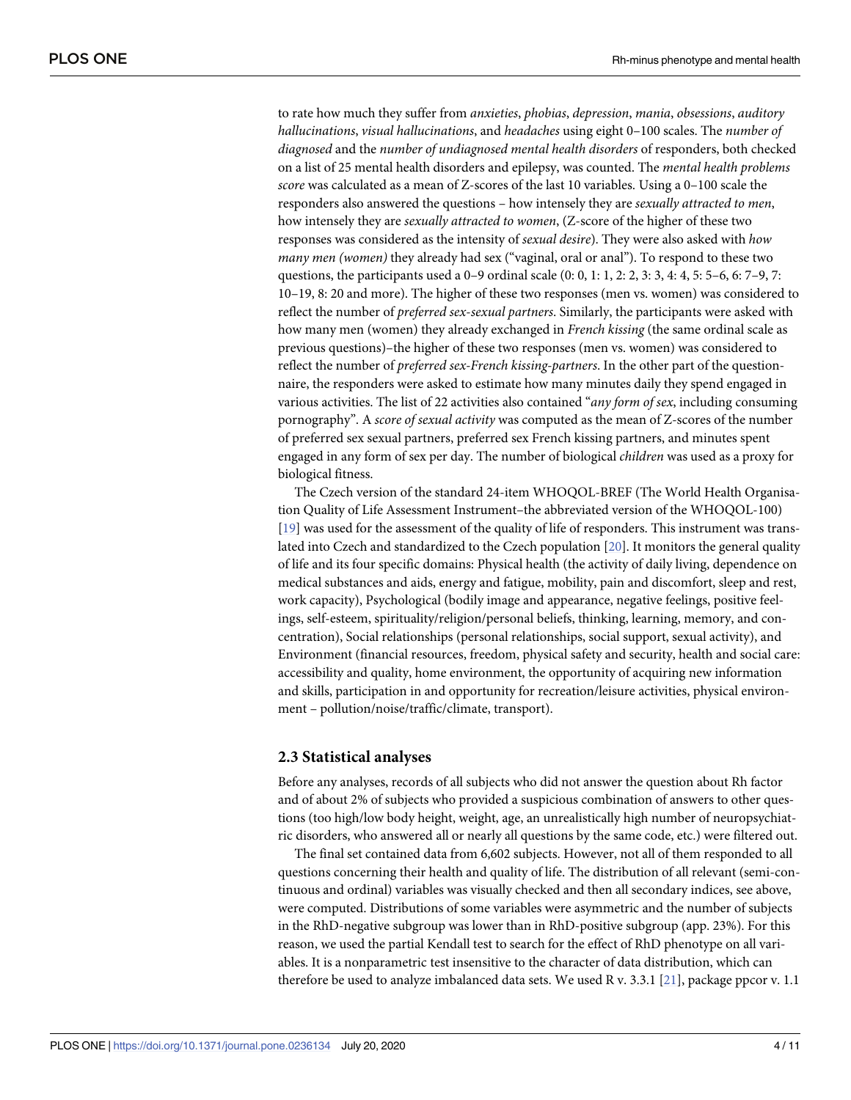<span id="page-3-0"></span>to rate how much they suffer from *anxieties*, *phobias*, *depression*, *mania*, *obsessions*, *auditory hallucinations*, *visual hallucinations*, and *headaches* using eight 0–100 scales. The *number of diagnosed* and the *number of undiagnosed mental health disorders* of responders, both checked on a list of 25 mental health disorders and epilepsy, was counted. The *mental health problems score* was calculated as a mean of Z-scores of the last 10 variables. Using a 0–100 scale the responders also answered the questions – how intensely they are *sexually attracted to men*, how intensely they are *sexually attracted to women*, (Z-score of the higher of these two responses was considered as the intensity of *sexual desire*). They were also asked with *how many men (women)* they already had sex ("vaginal, oral or anal"). To respond to these two questions, the participants used a 0–9 ordinal scale (0: 0, 1: 1, 2: 2, 3: 3, 4: 4, 5: 5–6, 6: 7–9, 7: 10–19, 8: 20 and more). The higher of these two responses (men vs. women) was considered to reflect the number of *preferred sex*-*sexual partners*. Similarly, the participants were asked with how many men (women) they already exchanged in *French kissing* (the same ordinal scale as previous questions)–the higher of these two responses (men vs. women) was considered to reflect the number of *preferred sex-French kissing-partners*. In the other part of the questionnaire, the responders were asked to estimate how many minutes daily they spend engaged in various activities. The list of 22 activities also contained "*any form of sex*, including consuming pornography". A *score of sexual activity* was computed as the mean of Z-scores of the number of preferred sex sexual partners, preferred sex French kissing partners, and minutes spent engaged in any form of sex per day. The number of biological *children* was used as a proxy for biological fitness.

The Czech version of the standard 24-item WHOQOL-BREF (The World Health Organisation Quality of Life Assessment Instrument–the abbreviated version of the WHOQOL-100) [\[19\]](#page-9-0) was used for the assessment of the quality of life of responders. This instrument was translated into Czech and standardized to the Czech population [[20](#page-9-0)]. It monitors the general quality of life and its four specific domains: Physical health (the activity of daily living, dependence on medical substances and aids, energy and fatigue, mobility, pain and discomfort, sleep and rest, work capacity), Psychological (bodily image and appearance, negative feelings, positive feelings, self-esteem, spirituality/religion/personal beliefs, thinking, learning, memory, and concentration), Social relationships (personal relationships, social support, sexual activity), and Environment (financial resources, freedom, physical safety and security, health and social care: accessibility and quality, home environment, the opportunity of acquiring new information and skills, participation in and opportunity for recreation/leisure activities, physical environment – pollution/noise/traffic/climate, transport).

#### **2.3 Statistical analyses**

Before any analyses, records of all subjects who did not answer the question about Rh factor and of about 2% of subjects who provided a suspicious combination of answers to other questions (too high/low body height, weight, age, an unrealistically high number of neuropsychiatric disorders, who answered all or nearly all questions by the same code, etc.) were filtered out.

The final set contained data from 6,602 subjects. However, not all of them responded to all questions concerning their health and quality of life. The distribution of all relevant (semi-continuous and ordinal) variables was visually checked and then all secondary indices, see above, were computed. Distributions of some variables were asymmetric and the number of subjects in the RhD-negative subgroup was lower than in RhD-positive subgroup (app. 23%). For this reason, we used the partial Kendall test to search for the effect of RhD phenotype on all variables. It is a nonparametric test insensitive to the character of data distribution, which can therefore be used to analyze imbalanced data sets. We used R v. 3.3.1 [[21](#page-9-0)], package ppcor v. 1.1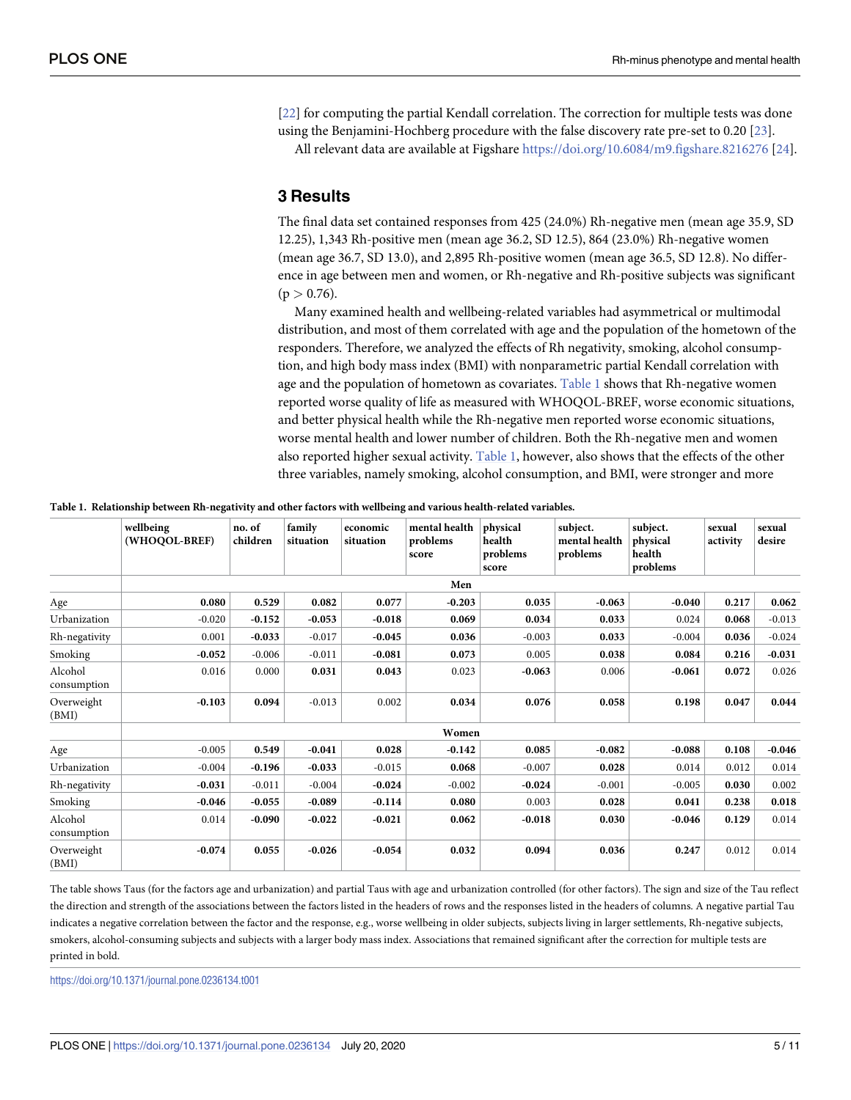<span id="page-4-0"></span>[\[22\]](#page-9-0) for computing the partial Kendall correlation. The correction for multiple tests was done using the Benjamini-Hochberg procedure with the false discovery rate pre-set to 0.20 [[23](#page-9-0)].

All relevant data are available at Figshare <https://doi.org/10.6084/m9.figshare.8216276> [[24](#page-9-0)].

## **3 Results**

The final data set contained responses from 425 (24.0%) Rh-negative men (mean age 35.9, SD 12.25), 1,343 Rh-positive men (mean age 36.2, SD 12.5), 864 (23.0%) Rh-negative women (mean age 36.7, SD 13.0), and 2,895 Rh-positive women (mean age 36.5, SD 12.8). No difference in age between men and women, or Rh-negative and Rh-positive subjects was significant  $(p > 0.76)$ .

Many examined health and wellbeing-related variables had asymmetrical or multimodal distribution, and most of them correlated with age and the population of the hometown of the responders. Therefore, we analyzed the effects of Rh negativity, smoking, alcohol consumption, and high body mass index (BMI) with nonparametric partial Kendall correlation with age and the population of hometown as covariates. Table 1 shows that Rh-negative women reported worse quality of life as measured with WHOQOL-BREF, worse economic situations, and better physical health while the Rh-negative men reported worse economic situations, worse mental health and lower number of children. Both the Rh-negative men and women also reported higher sexual activity. Table 1, however, also shows that the effects of the other three variables, namely smoking, alcohol consumption, and BMI, were stronger and more

|                        | wellbeing<br>(WHOQOL-BREF) | no. of<br>children | family<br>situation | economic<br>situation | mental health<br>problems<br>score | physical<br>health<br>problems<br>score | subject.<br>mental health<br>problems | subject.<br>physical<br>health<br>problems | sexual<br>activity | sexual<br>desire |  |  |  |
|------------------------|----------------------------|--------------------|---------------------|-----------------------|------------------------------------|-----------------------------------------|---------------------------------------|--------------------------------------------|--------------------|------------------|--|--|--|
|                        | Men                        |                    |                     |                       |                                    |                                         |                                       |                                            |                    |                  |  |  |  |
| Age                    | 0.080                      | 0.529              | 0.082               | 0.077                 | $-0.203$                           | 0.035                                   | $-0.063$                              | $-0.040$                                   | 0.217              | 0.062            |  |  |  |
| Urbanization           | $-0.020$                   | $-0.152$           | $-0.053$            | $-0.018$              | 0.069                              | 0.034                                   | 0.033                                 | 0.024                                      | 0.068              | $-0.013$         |  |  |  |
| Rh-negativity          | 0.001                      | $-0.033$           | $-0.017$            | $-0.045$              | 0.036                              | $-0.003$                                | 0.033                                 | $-0.004$                                   | 0.036              | $-0.024$         |  |  |  |
| Smoking                | $-0.052$                   | $-0.006$           | $-0.011$            | $-0.081$              | 0.073                              | 0.005                                   | 0.038                                 | 0.084                                      | 0.216              | $-0.031$         |  |  |  |
| Alcohol<br>consumption | 0.016                      | 0.000              | 0.031               | 0.043                 | 0.023                              | $-0.063$                                | 0.006                                 | $-0.061$                                   | 0.072              | 0.026            |  |  |  |
| Overweight<br>(BMI)    | $-0.103$                   | 0.094              | $-0.013$            | 0.002                 | 0.034                              | 0.076                                   | 0.058                                 | 0.198                                      | 0.047              | 0.044            |  |  |  |
|                        | Women                      |                    |                     |                       |                                    |                                         |                                       |                                            |                    |                  |  |  |  |
| Age                    | $-0.005$                   | 0.549              | $-0.041$            | 0.028                 | $-0.142$                           | 0.085                                   | $-0.082$                              | $-0.088$                                   | 0.108              | $-0.046$         |  |  |  |
| Urbanization           | $-0.004$                   | $-0.196$           | $-0.033$            | $-0.015$              | 0.068                              | $-0.007$                                | 0.028                                 | 0.014                                      | 0.012              | 0.014            |  |  |  |
| Rh-negativity          | $-0.031$                   | $-0.011$           | $-0.004$            | $-0.024$              | $-0.002$                           | $-0.024$                                | $-0.001$                              | $-0.005$                                   | 0.030              | 0.002            |  |  |  |
| Smoking                | $-0.046$                   | $-0.055$           | $-0.089$            | $-0.114$              | 0.080                              | 0.003                                   | 0.028                                 | 0.041                                      | 0.238              | 0.018            |  |  |  |
| Alcohol<br>consumption | 0.014                      | $-0.090$           | $-0.022$            | $-0.021$              | 0.062                              | $-0.018$                                | 0.030                                 | $-0.046$                                   | 0.129              | 0.014            |  |  |  |
| Overweight<br>(BMI)    | $-0.074$                   | 0.055              | $-0.026$            | $-0.054$              | 0.032                              | 0.094                                   | 0.036                                 | 0.247                                      | 0.012              | 0.014            |  |  |  |

**Table 1. Relationship between Rh-negativity and other factors with wellbeing and various health-related variables.**

The table shows Taus (for the factors age and urbanization) and partial Taus with age and urbanization controlled (for other factors). The sign and size of the Tau reflect the direction and strength of the associations between the factors listed in the headers of rows and the responses listed in the headers of columns. A negative partial Tau indicates a negative correlation between the factor and the response, e.g., worse wellbeing in older subjects, subjects living in larger settlements, Rh-negative subjects, smokers, alcohol-consuming subjects and subjects with a larger body mass index. Associations that remained significant after the correction for multiple tests are printed in bold.

<https://doi.org/10.1371/journal.pone.0236134.t001>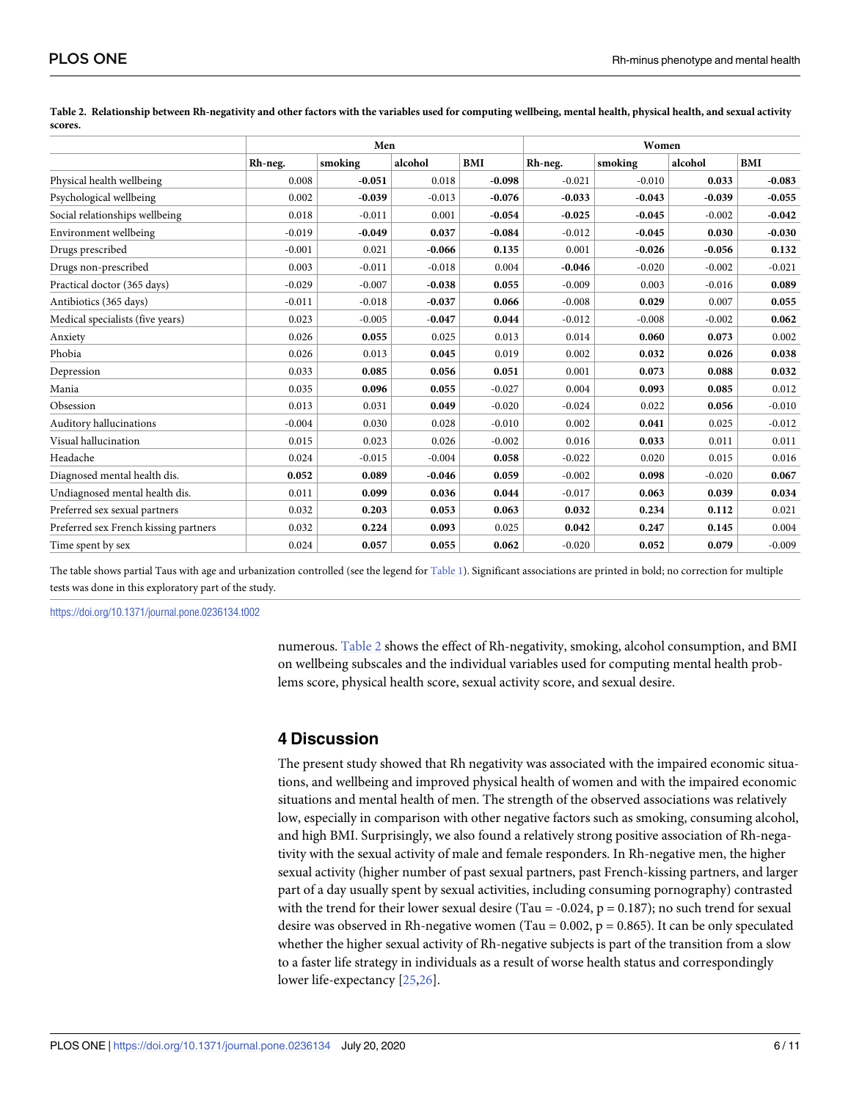|                                       |          | Men      |          |          | Women    |          |          |          |  |
|---------------------------------------|----------|----------|----------|----------|----------|----------|----------|----------|--|
|                                       | Rh-neg.  | smoking  | alcohol  | BMI      | Rh-neg.  | smoking  | alcohol  | BMI      |  |
| Physical health wellbeing             | 0.008    | $-0.051$ | 0.018    | $-0.098$ | $-0.021$ | $-0.010$ | 0.033    | $-0.083$ |  |
| Psychological wellbeing               | 0.002    | $-0.039$ | $-0.013$ | $-0.076$ | $-0.033$ | $-0.043$ | $-0.039$ | $-0.055$ |  |
| Social relationships wellbeing        | 0.018    | $-0.011$ | 0.001    | $-0.054$ | $-0.025$ | $-0.045$ | $-0.002$ | $-0.042$ |  |
| Environment wellbeing                 | $-0.019$ | $-0.049$ | 0.037    | $-0.084$ | $-0.012$ | $-0.045$ | 0.030    | $-0.030$ |  |
| Drugs prescribed                      | $-0.001$ | 0.021    | $-0.066$ | 0.135    | 0.001    | $-0.026$ | $-0.056$ | 0.132    |  |
| Drugs non-prescribed                  | 0.003    | $-0.011$ | $-0.018$ | 0.004    | $-0.046$ | $-0.020$ | $-0.002$ | $-0.021$ |  |
| Practical doctor (365 days)           | $-0.029$ | $-0.007$ | $-0.038$ | 0.055    | $-0.009$ | 0.003    | $-0.016$ | 0.089    |  |
| Antibiotics (365 days)                | $-0.011$ | $-0.018$ | $-0.037$ | 0.066    | $-0.008$ | 0.029    | 0.007    | 0.055    |  |
| Medical specialists (five years)      | 0.023    | $-0.005$ | $-0.047$ | 0.044    | $-0.012$ | $-0.008$ | $-0.002$ | 0.062    |  |
| Anxiety                               | 0.026    | 0.055    | 0.025    | 0.013    | 0.014    | 0.060    | 0.073    | 0.002    |  |
| Phobia                                | 0.026    | 0.013    | 0.045    | 0.019    | 0.002    | 0.032    | 0.026    | 0.038    |  |
| Depression                            | 0.033    | 0.085    | 0.056    | 0.051    | 0.001    | 0.073    | 0.088    | 0.032    |  |
| Mania                                 | 0.035    | 0.096    | 0.055    | $-0.027$ | 0.004    | 0.093    | 0.085    | 0.012    |  |
| Obsession                             | 0.013    | 0.031    | 0.049    | $-0.020$ | $-0.024$ | 0.022    | 0.056    | $-0.010$ |  |
| Auditory hallucinations               | $-0.004$ | 0.030    | 0.028    | $-0.010$ | 0.002    | 0.041    | 0.025    | $-0.012$ |  |
| Visual hallucination                  | 0.015    | 0.023    | 0.026    | $-0.002$ | 0.016    | 0.033    | 0.011    | 0.011    |  |
| Headache                              | 0.024    | $-0.015$ | $-0.004$ | 0.058    | $-0.022$ | 0.020    | 0.015    | 0.016    |  |
| Diagnosed mental health dis.          | 0.052    | 0.089    | $-0.046$ | 0.059    | $-0.002$ | 0.098    | $-0.020$ | 0.067    |  |
| Undiagnosed mental health dis.        | 0.011    | 0.099    | 0.036    | 0.044    | $-0.017$ | 0.063    | 0.039    | 0.034    |  |
| Preferred sex sexual partners         | 0.032    | 0.203    | 0.053    | 0.063    | 0.032    | 0.234    | 0.112    | 0.021    |  |
| Preferred sex French kissing partners | 0.032    | 0.224    | 0.093    | 0.025    | 0.042    | 0.247    | 0.145    | 0.004    |  |
| Time spent by sex                     | 0.024    | 0.057    | 0.055    | 0.062    | $-0.020$ | 0.052    | 0.079    | $-0.009$ |  |

<span id="page-5-0"></span>[Table](#page-4-0) 2. Relationship between Rh-negativity and other factors with the variables used for computing wellbeing, mental health, physical health, and sexual activity **scores.**

The table shows partial Taus with age and urbanization controlled (see the legend for [Table](#page-4-0) 1). Significant associations are printed in bold; no correction for multiple tests was done in this exploratory part of the study.

<https://doi.org/10.1371/journal.pone.0236134.t002>

numerous. Table 2 shows the effect of Rh-negativity, smoking, alcohol consumption, and BMI on wellbeing subscales and the individual variables used for computing mental health problems score, physical health score, sexual activity score, and sexual desire.

## **4 Discussion**

The present study showed that Rh negativity was associated with the impaired economic situations, and wellbeing and improved physical health of women and with the impaired economic situations and mental health of men. The strength of the observed associations was relatively low, especially in comparison with other negative factors such as smoking, consuming alcohol, and high BMI. Surprisingly, we also found a relatively strong positive association of Rh-negativity with the sexual activity of male and female responders. In Rh-negative men, the higher sexual activity (higher number of past sexual partners, past French-kissing partners, and larger part of a day usually spent by sexual activities, including consuming pornography) contrasted with the trend for their lower sexual desire (Tau = -0.024,  $p = 0.187$ ); no such trend for sexual desire was observed in Rh-negative women (Tau =  $0.002$ , p =  $0.865$ ). It can be only speculated whether the higher sexual activity of Rh-negative subjects is part of the transition from a slow to a faster life strategy in individuals as a result of worse health status and correspondingly lower life-expectancy [\[25,26](#page-9-0)].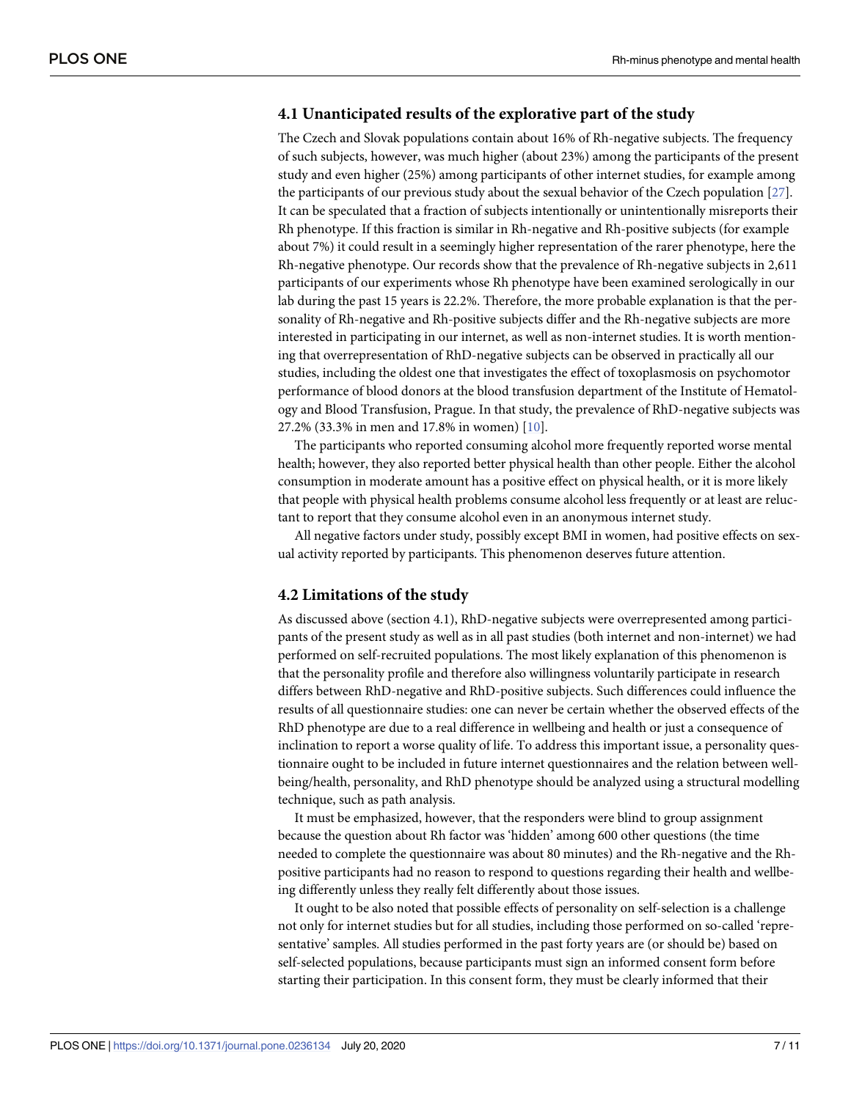## <span id="page-6-0"></span>**4.1 Unanticipated results of the explorative part of the study**

The Czech and Slovak populations contain about 16% of Rh-negative subjects. The frequency of such subjects, however, was much higher (about 23%) among the participants of the present study and even higher (25%) among participants of other internet studies, for example among the participants of our previous study about the sexual behavior of the Czech population [\[27\]](#page-10-0). It can be speculated that a fraction of subjects intentionally or unintentionally misreports their Rh phenotype. If this fraction is similar in Rh-negative and Rh-positive subjects (for example about 7%) it could result in a seemingly higher representation of the rarer phenotype, here the Rh-negative phenotype. Our records show that the prevalence of Rh-negative subjects in 2,611 participants of our experiments whose Rh phenotype have been examined serologically in our lab during the past 15 years is 22.2%. Therefore, the more probable explanation is that the personality of Rh-negative and Rh-positive subjects differ and the Rh-negative subjects are more interested in participating in our internet, as well as non-internet studies. It is worth mentioning that overrepresentation of RhD-negative subjects can be observed in practically all our studies, including the oldest one that investigates the effect of toxoplasmosis on psychomotor performance of blood donors at the blood transfusion department of the Institute of Hematology and Blood Transfusion, Prague. In that study, the prevalence of RhD-negative subjects was 27.2% (33.3% in men and 17.8% in women) [\[10\]](#page-9-0).

The participants who reported consuming alcohol more frequently reported worse mental health; however, they also reported better physical health than other people. Either the alcohol consumption in moderate amount has a positive effect on physical health, or it is more likely that people with physical health problems consume alcohol less frequently or at least are reluctant to report that they consume alcohol even in an anonymous internet study.

All negative factors under study, possibly except BMI in women, had positive effects on sexual activity reported by participants. This phenomenon deserves future attention.

#### **4.2 Limitations of the study**

As discussed above (section 4.1), RhD-negative subjects were overrepresented among participants of the present study as well as in all past studies (both internet and non-internet) we had performed on self-recruited populations. The most likely explanation of this phenomenon is that the personality profile and therefore also willingness voluntarily participate in research differs between RhD-negative and RhD-positive subjects. Such differences could influence the results of all questionnaire studies: one can never be certain whether the observed effects of the RhD phenotype are due to a real difference in wellbeing and health or just a consequence of inclination to report a worse quality of life. To address this important issue, a personality questionnaire ought to be included in future internet questionnaires and the relation between wellbeing/health, personality, and RhD phenotype should be analyzed using a structural modelling technique, such as path analysis.

It must be emphasized, however, that the responders were blind to group assignment because the question about Rh factor was 'hidden' among 600 other questions (the time needed to complete the questionnaire was about 80 minutes) and the Rh-negative and the Rhpositive participants had no reason to respond to questions regarding their health and wellbeing differently unless they really felt differently about those issues.

It ought to be also noted that possible effects of personality on self-selection is a challenge not only for internet studies but for all studies, including those performed on so-called 'representative' samples. All studies performed in the past forty years are (or should be) based on self-selected populations, because participants must sign an informed consent form before starting their participation. In this consent form, they must be clearly informed that their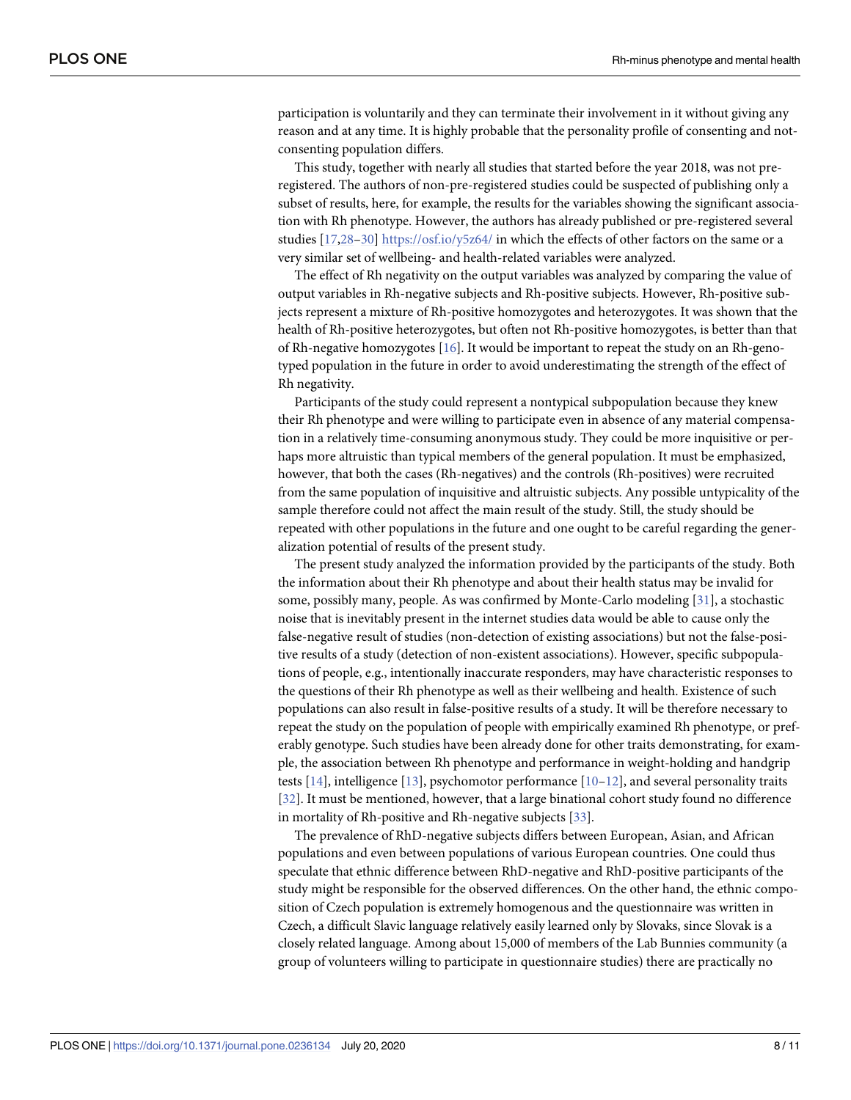<span id="page-7-0"></span>participation is voluntarily and they can terminate their involvement in it without giving any reason and at any time. It is highly probable that the personality profile of consenting and notconsenting population differs.

This study, together with nearly all studies that started before the year 2018, was not preregistered. The authors of non-pre-registered studies could be suspected of publishing only a subset of results, here, for example, the results for the variables showing the significant association with Rh phenotype. However, the authors has already published or pre-registered several studies [\[17,](#page-9-0)[28–30](#page-10-0)] <https://osf.io/y5z64/> in which the effects of other factors on the same or a very similar set of wellbeing- and health-related variables were analyzed.

The effect of Rh negativity on the output variables was analyzed by comparing the value of output variables in Rh-negative subjects and Rh-positive subjects. However, Rh-positive subjects represent a mixture of Rh-positive homozygotes and heterozygotes. It was shown that the health of Rh-positive heterozygotes, but often not Rh-positive homozygotes, is better than that of Rh-negative homozygotes [[16](#page-9-0)]. It would be important to repeat the study on an Rh-genotyped population in the future in order to avoid underestimating the strength of the effect of Rh negativity.

Participants of the study could represent a nontypical subpopulation because they knew their Rh phenotype and were willing to participate even in absence of any material compensation in a relatively time-consuming anonymous study. They could be more inquisitive or perhaps more altruistic than typical members of the general population. It must be emphasized, however, that both the cases (Rh-negatives) and the controls (Rh-positives) were recruited from the same population of inquisitive and altruistic subjects. Any possible untypicality of the sample therefore could not affect the main result of the study. Still, the study should be repeated with other populations in the future and one ought to be careful regarding the generalization potential of results of the present study.

The present study analyzed the information provided by the participants of the study. Both the information about their Rh phenotype and about their health status may be invalid for some, possibly many, people. As was confirmed by Monte-Carlo modeling [[31\]](#page-10-0), a stochastic noise that is inevitably present in the internet studies data would be able to cause only the false-negative result of studies (non-detection of existing associations) but not the false-positive results of a study (detection of non-existent associations). However, specific subpopulations of people, e.g., intentionally inaccurate responders, may have characteristic responses to the questions of their Rh phenotype as well as their wellbeing and health. Existence of such populations can also result in false-positive results of a study. It will be therefore necessary to repeat the study on the population of people with empirically examined Rh phenotype, or preferably genotype. Such studies have been already done for other traits demonstrating, for example, the association between Rh phenotype and performance in weight-holding and handgrip tests [\[14\]](#page-9-0), intelligence [[13](#page-9-0)], psychomotor performance [\[10–12](#page-9-0)], and several personality traits [\[32\]](#page-10-0). It must be mentioned, however, that a large binational cohort study found no difference in mortality of Rh-positive and Rh-negative subjects [[33](#page-10-0)].

The prevalence of RhD-negative subjects differs between European, Asian, and African populations and even between populations of various European countries. One could thus speculate that ethnic difference between RhD-negative and RhD-positive participants of the study might be responsible for the observed differences. On the other hand, the ethnic composition of Czech population is extremely homogenous and the questionnaire was written in Czech, a difficult Slavic language relatively easily learned only by Slovaks, since Slovak is a closely related language. Among about 15,000 of members of the Lab Bunnies community (a group of volunteers willing to participate in questionnaire studies) there are practically no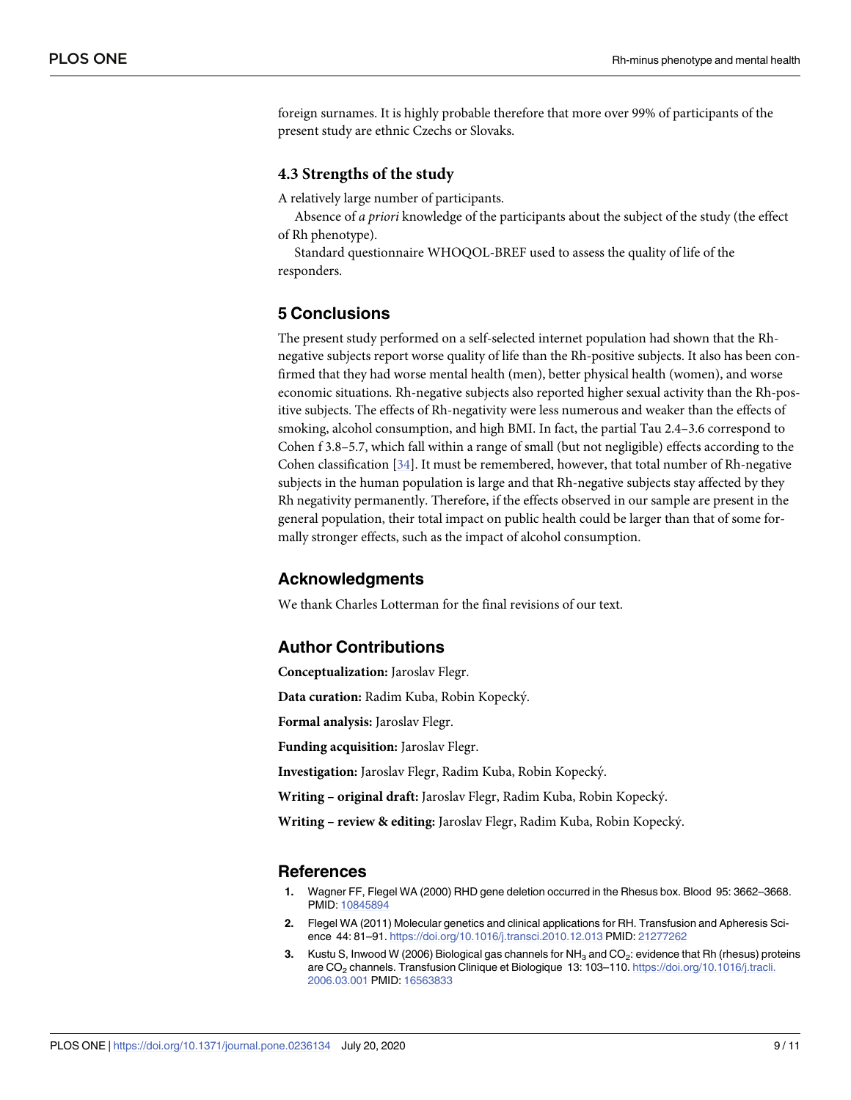<span id="page-8-0"></span>foreign surnames. It is highly probable therefore that more over 99% of participants of the present study are ethnic Czechs or Slovaks.

#### **4.3 Strengths of the study**

A relatively large number of participants.

Absence of *a priori* knowledge of the participants about the subject of the study (the effect of Rh phenotype).

Standard questionnaire WHOQOL-BREF used to assess the quality of life of the responders.

## **5 Conclusions**

The present study performed on a self-selected internet population had shown that the Rhnegative subjects report worse quality of life than the Rh-positive subjects. It also has been confirmed that they had worse mental health (men), better physical health (women), and worse economic situations. Rh-negative subjects also reported higher sexual activity than the Rh-positive subjects. The effects of Rh-negativity were less numerous and weaker than the effects of smoking, alcohol consumption, and high BMI. In fact, the partial Tau 2.4–3.6 correspond to Cohen f 3.8–5.7, which fall within a range of small (but not negligible) effects according to the Cohen classification [[34](#page-10-0)]. It must be remembered, however, that total number of Rh-negative subjects in the human population is large and that Rh-negative subjects stay affected by they Rh negativity permanently. Therefore, if the effects observed in our sample are present in the general population, their total impact on public health could be larger than that of some formally stronger effects, such as the impact of alcohol consumption.

#### **Acknowledgments**

We thank Charles Lotterman for the final revisions of our text.

#### **Author Contributions**

**Conceptualization:** Jaroslav Flegr.

**Data curation:** Radim Kuba, Robin Kopecky´.

**Formal analysis:** Jaroslav Flegr.

**Funding acquisition:** Jaroslav Flegr.

**Investigation:** Jaroslav Flegr, Radim Kuba, Robin Kopecky´.

**Writing – original draft:** Jaroslav Flegr, Radim Kuba, Robin Kopecky´.

**Writing – review & editing:** Jaroslav Flegr, Radim Kuba, Robin Kopecky´.

#### **References**

- **[1](#page-1-0).** Wagner FF, Flegel WA (2000) RHD gene deletion occurred in the Rhesus box. Blood 95: 3662–3668. PMID: [10845894](http://www.ncbi.nlm.nih.gov/pubmed/10845894)
- **[2](#page-1-0).** Flegel WA (2011) Molecular genetics and clinical applications for RH. Transfusion and Apheresis Science 44: 81–91. <https://doi.org/10.1016/j.transci.2010.12.013> PMID: [21277262](http://www.ncbi.nlm.nih.gov/pubmed/21277262)
- **[3](#page-1-0).** Kustu S, Inwood W (2006) Biological gas channels for NH<sub>3</sub> and CO<sub>2</sub>: evidence that Rh (rhesus) proteins are CO<sub>2</sub> channels. Transfusion Clinique et Biologique 13: 103-110. [https://doi.org/10.1016/j.tracli.](https://doi.org/10.1016/j.tracli.2006.03.001) [2006.03.001](https://doi.org/10.1016/j.tracli.2006.03.001) PMID: [16563833](http://www.ncbi.nlm.nih.gov/pubmed/16563833)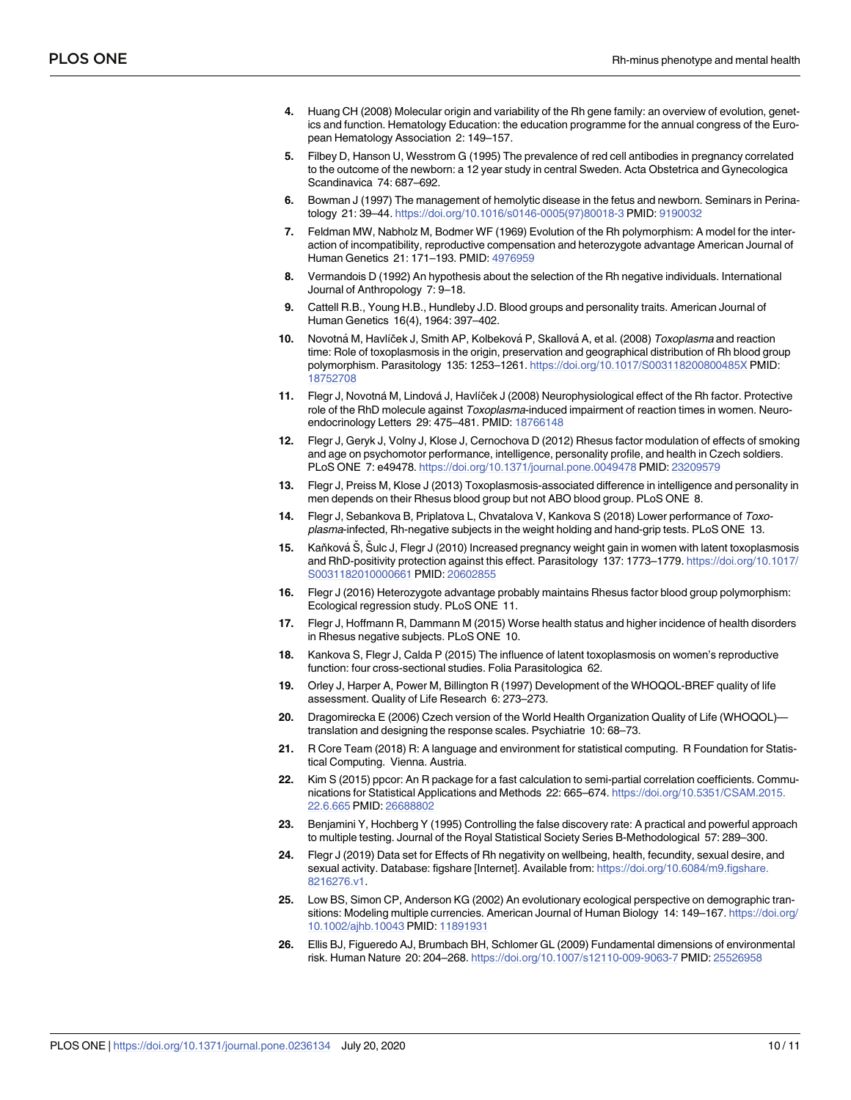- <span id="page-9-0"></span>**[4](#page-1-0).** Huang CH (2008) Molecular origin and variability of the Rh gene family: an overview of evolution, genetics and function. Hematology Education: the education programme for the annual congress of the European Hematology Association 2: 149–157.
- **[5](#page-1-0).** Filbey D, Hanson U, Wesstrom G (1995) The prevalence of red cell antibodies in pregnancy correlated to the outcome of the newborn: a 12 year study in central Sweden. Acta Obstetrica and Gynecologica Scandinavica 74: 687–692.
- **[6](#page-1-0).** Bowman J (1997) The management of hemolytic disease in the fetus and newborn. Seminars in Perinatology 21: 39–44. [https://doi.org/10.1016/s0146-0005\(97\)80018-3](https://doi.org/10.1016/s0146-0005(97)80018-3) PMID: [9190032](http://www.ncbi.nlm.nih.gov/pubmed/9190032)
- **[7](#page-1-0).** Feldman MW, Nabholz M, Bodmer WF (1969) Evolution of the Rh polymorphism: A model for the interaction of incompatibility, reproductive compensation and heterozygote advantage American Journal of Human Genetics 21: 171–193. PMID: [4976959](http://www.ncbi.nlm.nih.gov/pubmed/4976959)
- **[8](#page-1-0).** Vermandois D (1992) An hypothesis about the selection of the Rh negative individuals. International Journal of Anthropology 7: 9–18.
- **[9](#page-1-0).** Cattell R.B., Young H.B., Hundleby J.D. Blood groups and personality traits. American Journal of Human Genetics 16(4), 1964: 397–402.
- **[10](#page-1-0).** Novotná M, Havlíček J, Smith AP, Kolbeková P, Skallová A, et al. (2008) Toxoplasma and reaction time: Role of toxoplasmosis in the origin, preservation and geographical distribution of Rh blood group polymorphism. Parasitology 135: 1253–1261. <https://doi.org/10.1017/S003118200800485X> PMID: [18752708](http://www.ncbi.nlm.nih.gov/pubmed/18752708)
- **11.** Flegr J, Novotná M, Lindová J, Havlíček J (2008) Neurophysiological effect of the Rh factor. Protective role of the RhD molecule against Toxoplasma-induced impairment of reaction times in women. Neuroendocrinology Letters 29: 475–481. PMID: [18766148](http://www.ncbi.nlm.nih.gov/pubmed/18766148)
- **[12](#page-7-0).** Flegr J, Geryk J, Volny J, Klose J, Cernochova D (2012) Rhesus factor modulation of effects of smoking and age on psychomotor performance, intelligence, personality profile, and health in Czech soldiers. PLoS ONE 7: e49478. <https://doi.org/10.1371/journal.pone.0049478> PMID: [23209579](http://www.ncbi.nlm.nih.gov/pubmed/23209579)
- **[13](#page-7-0).** Flegr J, Preiss M, Klose J (2013) Toxoplasmosis-associated difference in intelligence and personality in men depends on their Rhesus blood group but not ABO blood group. PLoS ONE 8.
- **[14](#page-1-0).** Flegr J, Sebankova B, Priplatova L, Chvatalova V, Kankova S (2018) Lower performance of Toxoplasma-infected, Rh-negative subjects in the weight holding and hand-grip tests. PLoS ONE 13.
- **[15](#page-1-0).** Kaňková Š, Šulc J, Flegr J (2010) Increased pregnancy weight gain in women with latent toxoplasmosis and RhD-positivity protection against this effect. Parasitology 137: 1773–1779. [https://doi.org/10.1017/](https://doi.org/10.1017/S0031182010000661) [S0031182010000661](https://doi.org/10.1017/S0031182010000661) PMID: [20602855](http://www.ncbi.nlm.nih.gov/pubmed/20602855)
- **[16](#page-1-0).** Flegr J (2016) Heterozygote advantage probably maintains Rhesus factor blood group polymorphism: Ecological regression study. PLoS ONE 11.
- **[17](#page-1-0).** Flegr J, Hoffmann R, Dammann M (2015) Worse health status and higher incidence of health disorders in Rhesus negative subjects. PLoS ONE 10.
- **[18](#page-1-0).** Kankova S, Flegr J, Calda P (2015) The influence of latent toxoplasmosis on women's reproductive function: four cross-sectional studies. Folia Parasitologica 62.
- **[19](#page-3-0).** Orley J, Harper A, Power M, Billington R (1997) Development of the WHOQOL-BREF quality of life assessment. Quality of Life Research 6: 273–273.
- **[20](#page-3-0).** Dragomirecka E (2006) Czech version of the World Health Organization Quality of Life (WHOQOL) translation and designing the response scales. Psychiatrie 10: 68–73.
- **[21](#page-3-0).** R Core Team (2018) R: A language and environment for statistical computing. R Foundation for Statistical Computing. Vienna. Austria.
- **[22](#page-3-0).** Kim S (2015) ppcor: An R package for a fast calculation to semi-partial correlation coefficients. Communications for Statistical Applications and Methods 22: 665–674. [https://doi.org/10.5351/CSAM.2015.](https://doi.org/10.5351/CSAM.2015.22.6.665) [22.6.665](https://doi.org/10.5351/CSAM.2015.22.6.665) PMID: [26688802](http://www.ncbi.nlm.nih.gov/pubmed/26688802)
- **[23](#page-4-0).** Benjamini Y, Hochberg Y (1995) Controlling the false discovery rate: A practical and powerful approach to multiple testing. Journal of the Royal Statistical Society Series B-Methodological 57: 289–300.
- **[24](#page-0-0).** Flegr J (2019) Data set for Effects of Rh negativity on wellbeing, health, fecundity, sexual desire, and sexual activity. Database: figshare [Internet]. Available from: [https://doi.org/10.6084/m9.figshare.](https://doi.org/10.6084/m9.figshare.8216276.v1) [8216276.v1.](https://doi.org/10.6084/m9.figshare.8216276.v1)
- **[25](#page-5-0).** Low BS, Simon CP, Anderson KG (2002) An evolutionary ecological perspective on demographic transitions: Modeling multiple currencies. American Journal of Human Biology 14: 149–167. [https://doi.org/](https://doi.org/10.1002/ajhb.10043) [10.1002/ajhb.10043](https://doi.org/10.1002/ajhb.10043) PMID: [11891931](http://www.ncbi.nlm.nih.gov/pubmed/11891931)
- **[26](#page-5-0).** Ellis BJ, Figueredo AJ, Brumbach BH, Schlomer GL (2009) Fundamental dimensions of environmental risk. Human Nature 20: 204–268. <https://doi.org/10.1007/s12110-009-9063-7> PMID: [25526958](http://www.ncbi.nlm.nih.gov/pubmed/25526958)